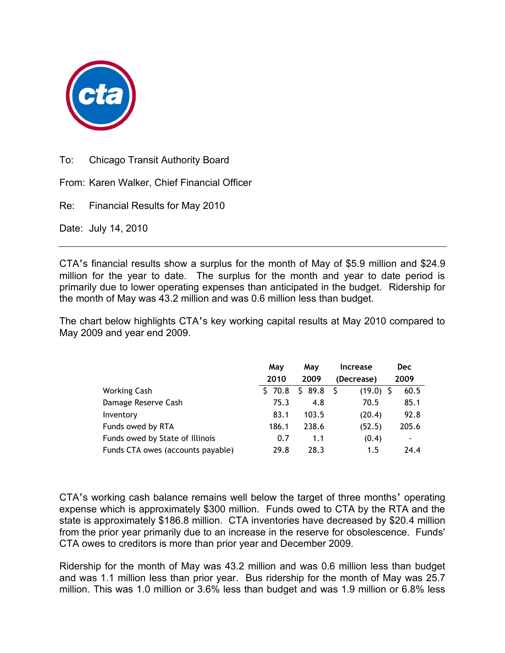

To: Chicago Transit Authority Board

From: Karen Walker, Chief Financial Officer

Re: Financial Results for May 2010

Date: July 14, 2010

CTA's financial results show a surplus for the month of May of \$5.9 million and \$24.9 million for the year to date. The surplus for the month and year to date period is primarily due to lower operating expenses than anticipated in the budget. Ridership for the month of May was 43.2 million and was 0.6 million less than budget.

The chart below highlights CTA's key working capital results at May 2010 compared to May 2009 and year end 2009.

|                                   | May        | May        | <b>Increase</b> | <b>Dec</b> |
|-----------------------------------|------------|------------|-----------------|------------|
|                                   | 2010       | 2009       | (Decrease)      | 2009       |
| Working Cash                      | 70.8<br>S. | 89.8<br>S. | $(19.0)$ \$     | 60.5       |
| Damage Reserve Cash               | 75.3       | 4.8        | 70.5            | 85.1       |
| Inventory                         | 83.1       | 103.5      | (20.4)          | 92.8       |
| Funds owed by RTA                 | 186.1      | 238.6      | (52.5)          | 205.6      |
| Funds owed by State of Illinois   | 0.7        | 1.1        | (0.4)           | ٠          |
| Funds CTA owes (accounts payable) | 29.8       | 28.3       | 1.5             | 24.4       |

CTA's working cash balance remains well below the target of three months' operating expense which is approximately \$300 million. Funds owed to CTA by the RTA and the state is approximately \$186.8 million. CTA inventories have decreased by \$20.4 million from the prior year primarily due to an increase in the reserve for obsolescence. Funds' CTA owes to creditors is more than prior year and December 2009.

Ridership for the month of May was 43.2 million and was 0.6 million less than budget and was 1.1 million less than prior year. Bus ridership for the month of May was 25.7 million. This was 1.0 million or 3.6% less than budget and was 1.9 million or 6.8% less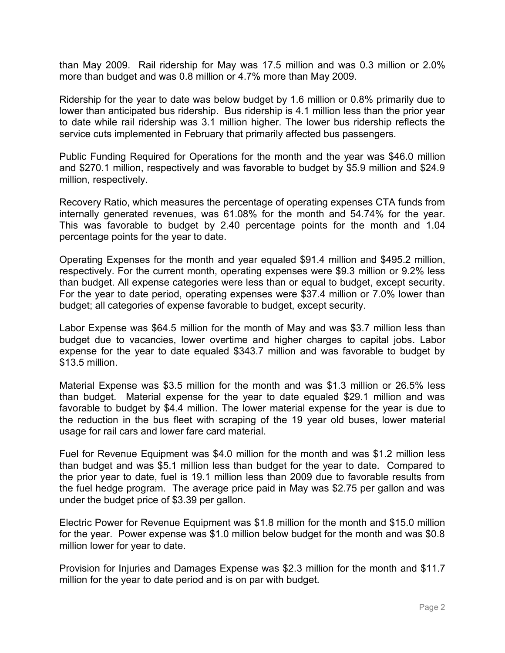than May 2009. Rail ridership for May was 17.5 million and was 0.3 million or 2.0% more than budget and was 0.8 million or 4.7% more than May 2009.

Ridership for the year to date was below budget by 1.6 million or 0.8% primarily due to lower than anticipated bus ridership. Bus ridership is 4.1 million less than the prior year to date while rail ridership was 3.1 million higher. The lower bus ridership reflects the service cuts implemented in February that primarily affected bus passengers.

Public Funding Required for Operations for the month and the year was \$46.0 million and \$270.1 million, respectively and was favorable to budget by \$5.9 million and \$24.9 million, respectively.

Recovery Ratio, which measures the percentage of operating expenses CTA funds from internally generated revenues, was 61.08% for the month and 54.74% for the year. This was favorable to budget by 2.40 percentage points for the month and 1.04 percentage points for the year to date.

Operating Expenses for the month and year equaled \$91.4 million and \$495.2 million, respectively. For the current month, operating expenses were \$9.3 million or 9.2% less than budget. All expense categories were less than or equal to budget, except security. For the year to date period, operating expenses were \$37.4 million or 7.0% lower than budget; all categories of expense favorable to budget, except security.

Labor Expense was \$64.5 million for the month of May and was \$3.7 million less than budget due to vacancies, lower overtime and higher charges to capital jobs. Labor expense for the year to date equaled \$343.7 million and was favorable to budget by \$13.5 million.

Material Expense was \$3.5 million for the month and was \$1.3 million or 26.5% less than budget. Material expense for the year to date equaled \$29.1 million and was favorable to budget by \$4.4 million. The lower material expense for the year is due to the reduction in the bus fleet with scraping of the 19 year old buses, lower material usage for rail cars and lower fare card material.

Fuel for Revenue Equipment was \$4.0 million for the month and was \$1.2 million less than budget and was \$5.1 million less than budget for the year to date. Compared to the prior year to date, fuel is 19.1 million less than 2009 due to favorable results from the fuel hedge program. The average price paid in May was \$2.75 per gallon and was under the budget price of \$3.39 per gallon.

Electric Power for Revenue Equipment was \$1.8 million for the month and \$15.0 million for the year. Power expense was \$1.0 million below budget for the month and was \$0.8 million lower for year to date.

Provision for Injuries and Damages Expense was \$2.3 million for the month and \$11.7 million for the year to date period and is on par with budget.